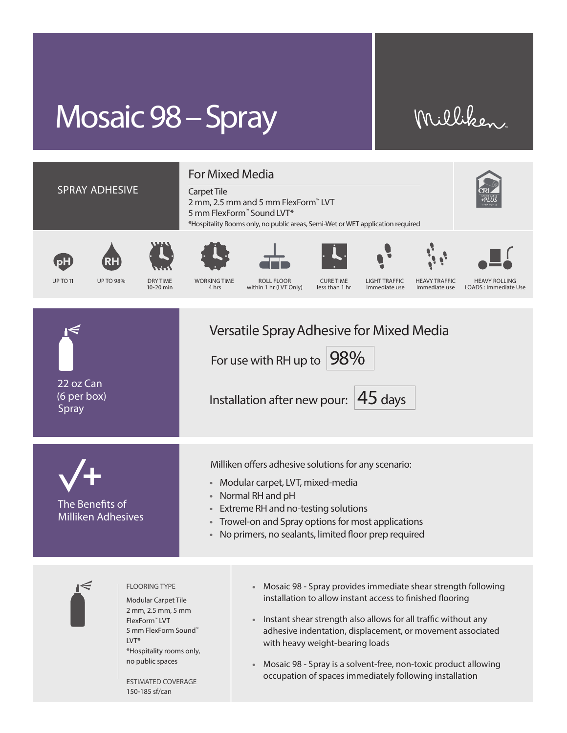## Mosaic 98 – Spray

## Milliken



- Trowel-on and Spray options for most applications
- No primers, no sealants, limited floor prep required



## FLOORING TYPE

Modular Carpet Tile 2 mm, 2.5 mm, 5 mm FlexForm™ LVT 5 mm FlexForm Sound™ LVT\* \*Hospitality rooms only, no public spaces

ESTIMATED COVERAGE 150-185 sf/can

- Mosaic 98 Spray provides immediate shear strength following installation to allow instant access to finished flooring
- Instant shear strength also allows for all traffic without any adhesive indentation, displacement, or movement associated with heavy weight-bearing loads
- Mosaic 98 Spray is a solvent-free, non-toxic product allowing occupation of spaces immediately following installation